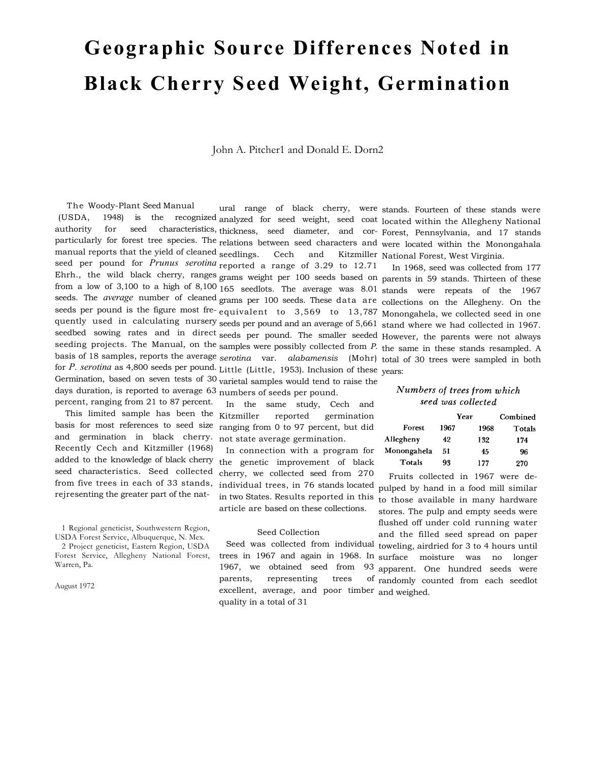# **Geographic Source Differences Noted in Black Cherry Seed Weight, Germination**

John A. Pitcher1 and Donald E. Dorn2

reported germination

ranging from 0 to 97 percent, but did not state average germination.

In connection with a program for

article are based on these collections.

Seed Collection

parents, representing trees

quality in a total of 31

The Woody-Plant Seed Manual (USDA, 1948) is the recognized analyzed for seed weight, seed coat located within the Allegheny National authority for seed characteristics, thickness, seed diameter, and cor-Forest, Pennsylvania, and 17 stands particularly for forest tree species. The relations between seed characters and were located within the Monongahala manual reports that the yield of cleaned seedlings. Cech and Kitzmiller National Forest, West Virginia. seed per pound for *Prunus serotina* reported a range of 3.29 to 12.71 Ehrh., the wild black cherry, ranges grams weight per 100 seeds based on parents in 59 stands. Thirteen of these from a low of 3,100 to a high of 8,100 165 seedlots. The average was 8.01 stands were repeats of the 1967 seeds. The *average* number of cleaned grams per 100 seeds. These data are collections on the Allegheny. On the seeds per pound is the figure most fre-equivalent to 3,569 to 13,787 Monongahela, we collected seed in one quently used in calculating nursery seeds per pound and an average of 5,661 stand where we had collected in 1967. seedbed sowing rates and in direct seeds per pound. The smaller seeded However, the parents were not always seeding projects. The Manual, on the samples were possibly collected from *P*. the same in these stands resampled. A basis of 18 samples, reports the average *serotina* var. *alabamensis* (Mohr) total of 30 trees were sampled in both for *P. serotina* as 4,800 seeds per pound. Little (Little, 1953). Inclusion of these years: Germination, based on seven tests of 30 varietal samples would tend to raise the days duration, is reported to average 63 numbers of seeds per pound. percent, ranging from 21 to 87 percent. ural range of black cherry, were stands. Fourteen of these stands were In the same study, Cech and

This limited sample has been the Kitzmiller basis for most references to seed size and germination in black cherry. Recently Cech and Kitzmiller (1968) added to the knowledge of black cherry the genetic improvement of black seed characteristics. Seed collected from five trees in each of 33 stands, rejresenting the greater part of the nat-

1 Regional geneticist, Southwestern Region, USDA Forest Service, Albuquerque, N. Mex.

2 Project geneticist, Eastern Region, USDA Forest Service, Allegheny National Forest, Warren, Pa.

August 1972

In 1968, seed was collected from 177

#### Numbers of trees from which seed was collected

|             |      | Year | Combined |
|-------------|------|------|----------|
| Forest      | 1967 | 1968 | Totals   |
| Allegheny   | 42   | 132  | 174      |
| Monongahela | 51   | 45   | 96       |
| Totals      | 93   | 177  | 270      |

cherry, we collected seed from 270 individual trees, in 76 stands located in two States. Results reported in this Seed was collected from individual toweling, airdried for 3 to 4 hours until trees in 1967 and again in 1968. In surface moisture was no longer 1967, we obtained seed from 93 apparent. One hundred seeds were excellent, average, and poor timber and weighed. Fruits collected in 1967 were depulped by hand in a food mill similar to those available in many hardware stores. The pulp and empty seeds were flushed off under cold running water and the filled seed spread on paper of randomly counted from each seedlot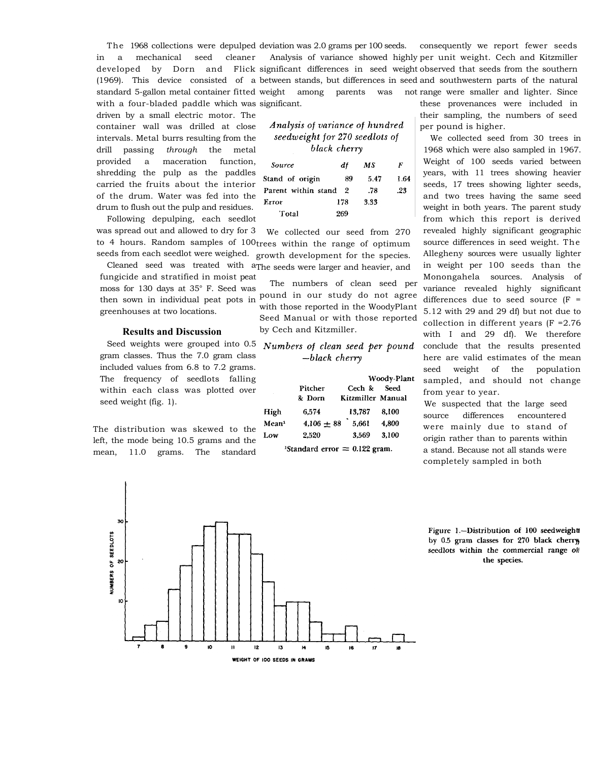The 1968 collections were depulped deviation was 2.0 grams per 100 seeds. in a mechanical seed cleaner developed by Dorn and (1969). This device consisted of a between stands, but differences in seed and southwestern parts of the natural standard 5-gallon metal container fitted weight among parents was not with a four-bladed paddle which was significant. Analysis of variance showed highly per unit weight. Cech and Kitzmiller significant differences in seed weight observed that seeds from the southern consequently we report fewer seeds range were smaller and lighter. Since

### Analysis of variance of hundred seedweight for 270 seedlots of black cherry

| <b>Source</b>       | df  | МS   | F    |
|---------------------|-----|------|------|
| Stand of origin     | 89  | 5.47 | 1.64 |
| Parent within stand | - 2 | .78  | .23  |
| Error               | 178 | 3.33 |      |
| Total               | 269 |      |      |

was spread out and allowed to dry for 3 to 4 hours. Random samples of 100 trees within the range of optimum seeds from each seedlot were weighed. We collected our seed from 270 growth development for the species.

Cleaned seed was treated with a The seeds were larger and heavier, and fungicide and stratified in moist peat moss for 130 days at 35° F. Seed was then sown in individual peat pots in pound in our study do not agree greenhouses at two locations.

driven by a small electric motor. The container wall was drilled at close intervals. Metal burrs resulting from the drill passing *through* the metal provided a maceration function, shredding the pulp as the paddles carried the fruits about the interior of the drum. Water was fed into the drum to flush out the pulp and residues. Following depulping, each seedlot

#### **Results and Discussion**

gram classes. Thus the 7.0 gram class included values from 6.8 to 7.2 grams. The frequency of seedlots falling within each class was plotted over seed weight (fig. 1).

The distribution was skewed to the left, the mode being 10.5 grams and the mean, 11.0 grams. The standard

The numbers of clean seed per with those reported in the WoodyPlant Seed Manual or with those reported by Cech and Kitzmiller.

## Seed weights were grouped into 0.5 Numbers of clean seed per pound  $-b \,$ lack cherry

|                   |                   | Woody-Plant                 |       |  |
|-------------------|-------------------|-----------------------------|-------|--|
|                   | Pitcher<br>& Dorn | Cech &<br>Kitzmiller Manual | Seed  |  |
| High              | 6.574             | 13.787                      | 8.100 |  |
| Mean <sup>1</sup> | $4.106 + 88$      | 5.661                       | 4.800 |  |
| Low               | 2,520             | 3.569                       | 3.100 |  |

<sup>1</sup>Standard error  $= 0.122$  gram.

these provenances were included in their sampling, the numbers of seed per pound is higher.

We collected seed from 30 trees in 1968 which were also sampled in 1967. Weight of 100 seeds varied between years, with 11 trees showing heavier seeds, 17 trees showing lighter seeds, and two trees having the same seed weight in both years. The parent study from which this report is derived revealed highly significant geographic source differences in seed weight. The Allegheny sources were usually lighter in weight per 100 seeds than the Monongahela sources. Analysis of variance revealed highly significant differences due to seed source  $(F =$ 5.12 with 29 and 29 df) but not due to collection in different years (F =2.76 with I and 29 df). We therefore conclude that the results presented here are valid estimates of the mean seed weight of the population sampled, and should not change from year to year.

We suspected that the large seed source differences encountered were mainly due to stand of origin rather than to parents within a stand. Because not all stands were completely sampled in both



Figure 1.-Distribution of 100 seedweight by 0.5 gram classes for 270 black cherry, seedlots within the commercial range of the species.